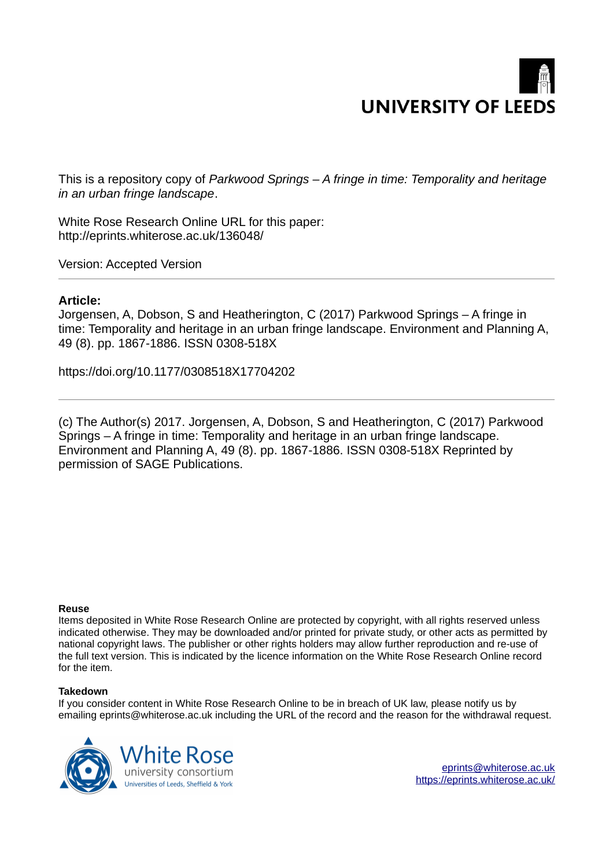# **UNIVERSITY OF LEEDS**

This is a repository copy of *Parkwood Springs – A fringe in time: Temporality and heritage in an urban fringe landscape*.

White Rose Research Online URL for this paper: http://eprints.whiterose.ac.uk/136048/

Version: Accepted Version

# **Article:**

Jorgensen, A, Dobson, S and Heatherington, C (2017) Parkwood Springs – A fringe in time: Temporality and heritage in an urban fringe landscape. Environment and Planning A, 49 (8). pp. 1867-1886. ISSN 0308-518X

https://doi.org/10.1177/0308518X17704202

(c) The Author(s) 2017. Jorgensen, A, Dobson, S and Heatherington, C (2017) Parkwood Springs – A fringe in time: Temporality and heritage in an urban fringe landscape. Environment and Planning A, 49 (8). pp. 1867-1886. ISSN 0308-518X Reprinted by permission of SAGE Publications.

#### **Reuse**

Items deposited in White Rose Research Online are protected by copyright, with all rights reserved unless indicated otherwise. They may be downloaded and/or printed for private study, or other acts as permitted by national copyright laws. The publisher or other rights holders may allow further reproduction and re-use of the full text version. This is indicated by the licence information on the White Rose Research Online record for the item.

### **Takedown**

If you consider content in White Rose Research Online to be in breach of UK law, please notify us by emailing eprints@whiterose.ac.uk including the URL of the record and the reason for the withdrawal request.



[eprints@whiterose.ac.uk](mailto:eprints@whiterose.ac.uk) <https://eprints.whiterose.ac.uk/>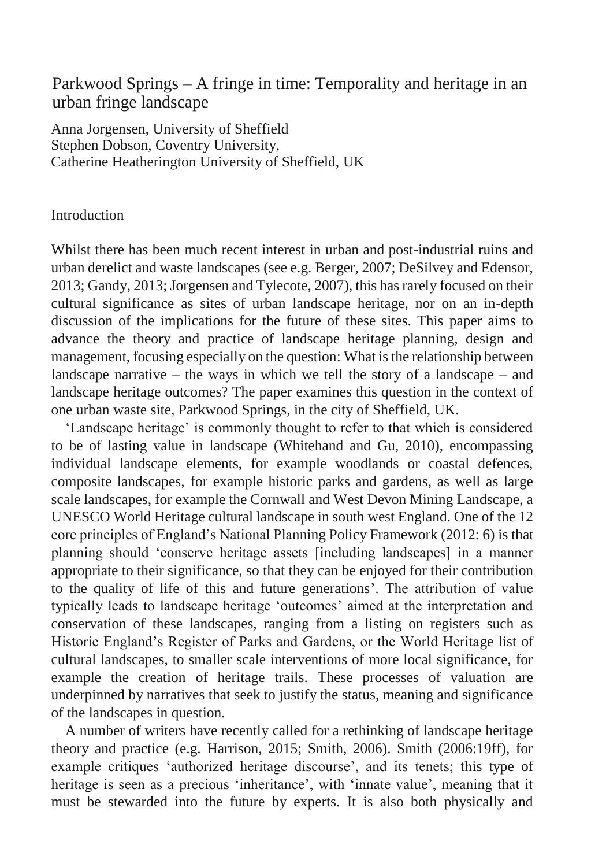Parkwood Springs – A fringe in time: Temporality and heritage in an urban fringe landscape

Anna Jorgensen, University of Sheffield Stephen Dobson, Coventry University, Catherine Heatherington University of Sheffield, UK

### Introduction

Whilst there has been much recent interest in urban and post-industrial ruins and urban derelict and waste landscapes (see e.g. Berger, 2007; DeSilvey and Edensor, 2013; Gandy, 2013; Jorgensen and Tylecote, 2007), this has rarely focused on their cultural significance as sites of urban landscape heritage, nor on an in-depth discussion of the implications for the future of these sites. This paper aims to advance the theory and practice of landscape heritage planning, design and management, focusing especially on the question: What is the relationship between landscape narrative – the ways in which we tell the story of a landscape – and landscape heritage outcomes? The paper examines this question in the context of one urban waste site, Parkwood Springs, in the city of Sheffield, UK.

'Landscape heritage' is commonly thought to refer to that which is considered to be of lasting value in landscape (Whitehand and Gu, 2010), encompassing individual landscape elements, for example woodlands or coastal defences, composite landscapes, for example historic parks and gardens, as well as large scale landscapes, for example the Cornwall and West Devon Mining Landscape, a UNESCO World Heritage cultural landscape in south west England. One of the 12 core principles of England's National Planning Policy Framework (2012: 6) is that planning should 'conserve heritage assets [including landscapes] in a manner appropriate to their significance, so that they can be enjoyed for their contribution to the quality of life of this and future generations'. The attribution of value typically leads to landscape heritage 'outcomes' aimed at the interpretation and conservation of these landscapes, ranging from a listing on registers such as Historic England's Register of Parks and Gardens, or the World Heritage list of cultural landscapes, to smaller scale interventions of more local significance, for example the creation of heritage trails. These processes of valuation are underpinned by narratives that seek to justify the status, meaning and significance of the landscapes in question.

A number of writers have recently called for a rethinking of landscape heritage theory and practice (e.g. Harrison, 2015; Smith, 2006). Smith (2006:19ff), for example critiques 'authorized heritage discourse', and its tenets; this type of heritage is seen as a precious 'inheritance', with 'innate value', meaning that it must be stewarded into the future by experts. It is also both physically and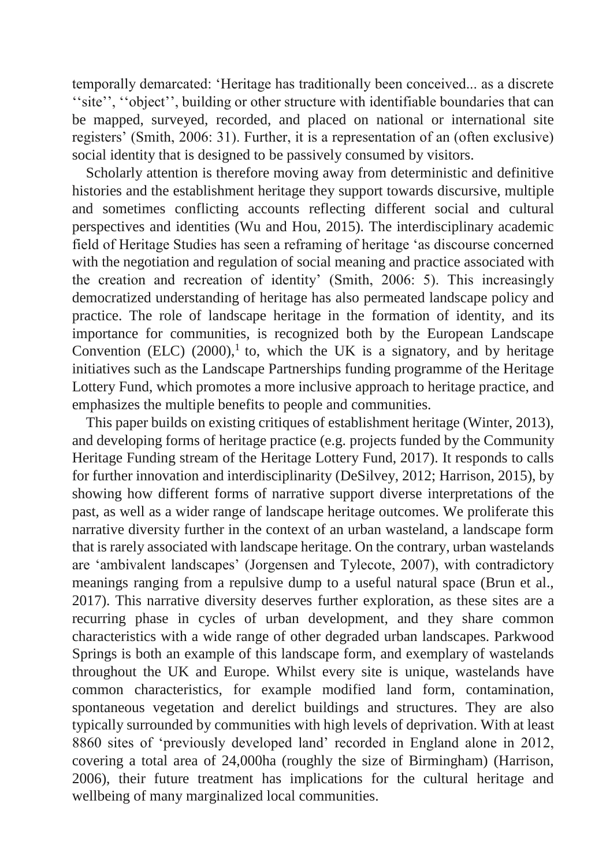temporally demarcated: 'Heritage has traditionally been conceived... as a discrete ''site'', ''object'', building or other structure with identifiable boundaries that can be mapped, surveyed, recorded, and placed on national or international site registers' (Smith, 2006: 31). Further, it is a representation of an (often exclusive) social identity that is designed to be passively consumed by visitors.

Scholarly attention is therefore moving away from deterministic and definitive histories and the establishment heritage they support towards discursive, multiple and sometimes conflicting accounts reflecting different social and cultural perspectives and identities (Wu and Hou, 2015). The interdisciplinary academic field of Heritage Studies has seen a reframing of heritage 'as discourse concerned with the negotiation and regulation of social meaning and practice associated with the creation and recreation of identity' (Smith, 2006: 5). This increasingly democratized understanding of heritage has also permeated landscape policy and practice. The role of landscape heritage in the formation of identity, and its importance for communities, is recognized both by the European Landscape Convention (ELC)  $(2000)$ ,<sup>1</sup> to, which the UK is a signatory, and by heritage initiatives such as the Landscape Partnerships funding programme of the Heritage Lottery Fund, which promotes a more inclusive approach to heritage practice, and emphasizes the multiple benefits to people and communities.

This paper builds on existing critiques of establishment heritage (Winter, 2013), and developing forms of heritage practice (e.g. projects funded by the Community Heritage Funding stream of the Heritage Lottery Fund, 2017). It responds to calls for further innovation and interdisciplinarity (DeSilvey, 2012; Harrison, 2015), by showing how different forms of narrative support diverse interpretations of the past, as well as a wider range of landscape heritage outcomes. We proliferate this narrative diversity further in the context of an urban wasteland, a landscape form that is rarely associated with landscape heritage. On the contrary, urban wastelands are 'ambivalent landscapes' (Jorgensen and Tylecote, 2007), with contradictory meanings ranging from a repulsive dump to a useful natural space (Brun et al., 2017). This narrative diversity deserves further exploration, as these sites are a recurring phase in cycles of urban development, and they share common characteristics with a wide range of other degraded urban landscapes. Parkwood Springs is both an example of this landscape form, and exemplary of wastelands throughout the UK and Europe. Whilst every site is unique, wastelands have common characteristics, for example modified land form, contamination, spontaneous vegetation and derelict buildings and structures. They are also typically surrounded by communities with high levels of deprivation. With at least 8860 sites of 'previously developed land' recorded in England alone in 2012, covering a total area of 24,000ha (roughly the size of Birmingham) (Harrison, 2006), their future treatment has implications for the cultural heritage and wellbeing of many marginalized local communities.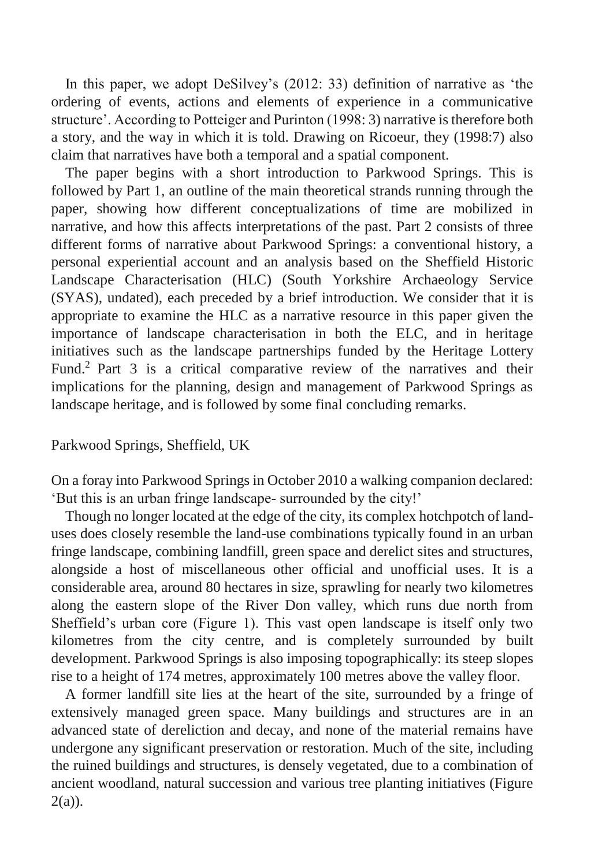In this paper, we adopt DeSilvey's (2012: 33) definition of narrative as 'the ordering of events, actions and elements of experience in a communicative structure'. According to Potteiger and Purinton (1998: 3) narrative is therefore both a story, and the way in which it is told. Drawing on Ricoeur, they (1998:7) also claim that narratives have both a temporal and a spatial component.

The paper begins with a short introduction to Parkwood Springs. This is followed by Part 1, an outline of the main theoretical strands running through the paper, showing how different conceptualizations of time are mobilized in narrative, and how this affects interpretations of the past. Part 2 consists of three different forms of narrative about Parkwood Springs: a conventional history, a personal experiential account and an analysis based on the Sheffield Historic Landscape Characterisation (HLC) (South Yorkshire Archaeology Service (SYAS), undated), each preceded by a brief introduction. We consider that it is appropriate to examine the HLC as a narrative resource in this paper given the importance of landscape characterisation in both the ELC, and in heritage initiatives such as the landscape partnerships funded by the Heritage Lottery Fund.<sup>2</sup> Part  $3$  is a critical comparative review of the narratives and their implications for the planning, design and management of Parkwood Springs as landscape heritage, and is followed by some final concluding remarks.

## Parkwood Springs, Sheffield, UK

On a foray into Parkwood Springs in October 2010 a walking companion declared: 'But this is an urban fringe landscape- surrounded by the city!'

Though no longer located at the edge of the city, its complex hotchpotch of landuses does closely resemble the land-use combinations typically found in an urban fringe landscape, combining landfill, green space and derelict sites and structures, alongside a host of miscellaneous other official and unofficial uses. It is a considerable area, around 80 hectares in size, sprawling for nearly two kilometres along the eastern slope of the River Don valley, which runs due north from Sheffield's urban core (Figure 1). This vast open landscape is itself only two kilometres from the city centre, and is completely surrounded by built development. Parkwood Springs is also imposing topographically: its steep slopes rise to a height of 174 metres, approximately 100 metres above the valley floor.

A former landfill site lies at the heart of the site, surrounded by a fringe of extensively managed green space. Many buildings and structures are in an advanced state of dereliction and decay, and none of the material remains have undergone any significant preservation or restoration. Much of the site, including the ruined buildings and structures, is densely vegetated, due to a combination of ancient woodland, natural succession and various tree planting initiatives (Figure  $2(a)$ ).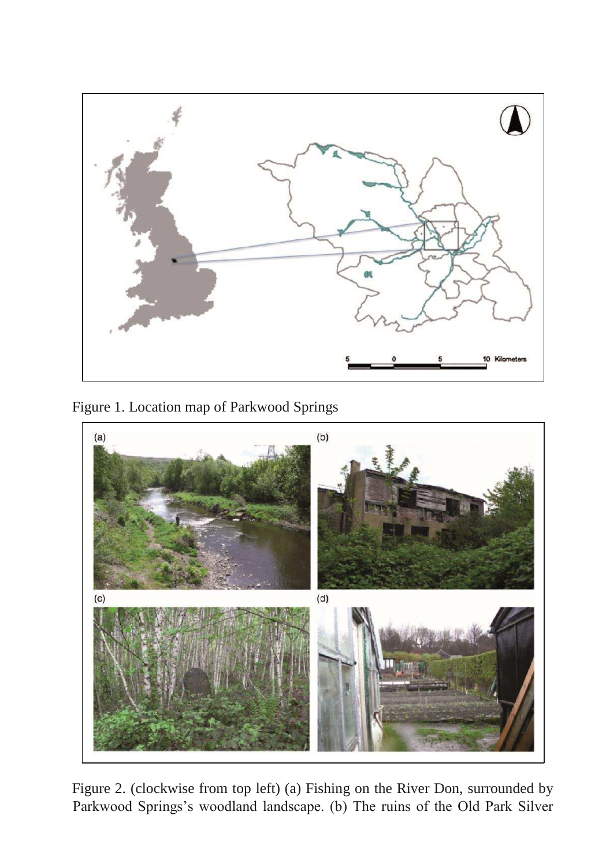

Figure 1. Location map of Parkwood Springs



Figure 2. (clockwise from top left) (a) Fishing on the River Don, surrounded by Parkwood Springs's woodland landscape. (b) The ruins of the Old Park Silver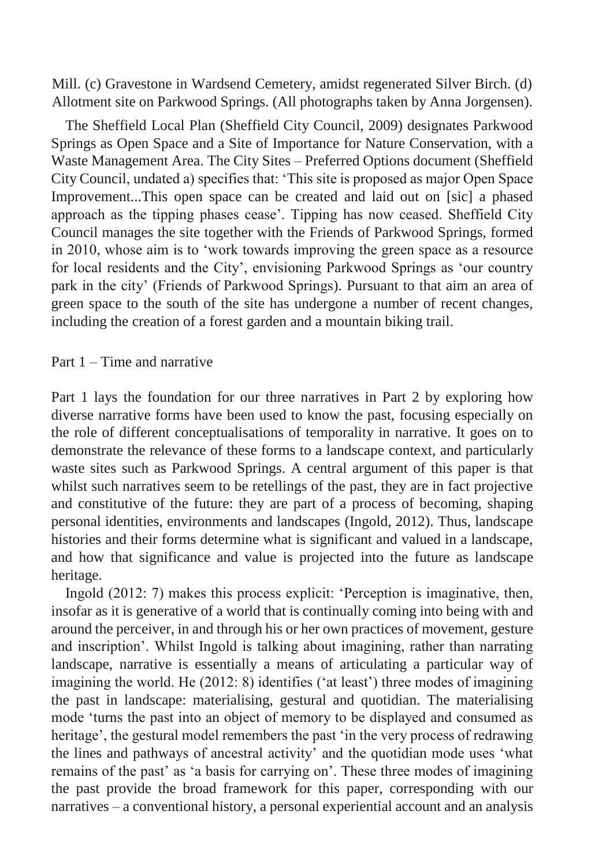Mill. (c) Gravestone in Wardsend Cemetery, amidst regenerated Silver Birch. (d) Allotment site on Parkwood Springs. (All photographs taken by Anna Jorgensen).

The Sheffield Local Plan (Sheffield City Council, 2009) designates Parkwood Springs as Open Space and a Site of Importance for Nature Conservation, with a Waste Management Area. The City Sites – Preferred Options document (Sheffield City Council, undated a) specifies that: 'This site is proposed as major Open Space Improvement...This open space can be created and laid out on [sic] a phased approach as the tipping phases cease'. Tipping has now ceased. Sheffield City Council manages the site together with the Friends of Parkwood Springs, formed in 2010, whose aim is to 'work towards improving the green space as a resource for local residents and the City', envisioning Parkwood Springs as 'our country park in the city' (Friends of Parkwood Springs). Pursuant to that aim an area of green space to the south of the site has undergone a number of recent changes, including the creation of a forest garden and a mountain biking trail.

#### Part 1 – Time and narrative

Part 1 lays the foundation for our three narratives in Part 2 by exploring how diverse narrative forms have been used to know the past, focusing especially on the role of different conceptualisations of temporality in narrative. It goes on to demonstrate the relevance of these forms to a landscape context, and particularly waste sites such as Parkwood Springs. A central argument of this paper is that whilst such narratives seem to be retellings of the past, they are in fact projective and constitutive of the future: they are part of a process of becoming, shaping personal identities, environments and landscapes (Ingold, 2012). Thus, landscape histories and their forms determine what is significant and valued in a landscape, and how that significance and value is projected into the future as landscape heritage.

Ingold (2012: 7) makes this process explicit: 'Perception is imaginative, then, insofar as it is generative of a world that is continually coming into being with and around the perceiver, in and through his or her own practices of movement, gesture and inscription'. Whilst Ingold is talking about imagining, rather than narrating landscape, narrative is essentially a means of articulating a particular way of imagining the world. He (2012: 8) identifies ('at least') three modes of imagining the past in landscape: materialising, gestural and quotidian. The materialising mode 'turns the past into an object of memory to be displayed and consumed as heritage', the gestural model remembers the past 'in the very process of redrawing the lines and pathways of ancestral activity' and the quotidian mode uses 'what remains of the past' as 'a basis for carrying on'. These three modes of imagining the past provide the broad framework for this paper, corresponding with our narratives – a conventional history, a personal experiential account and an analysis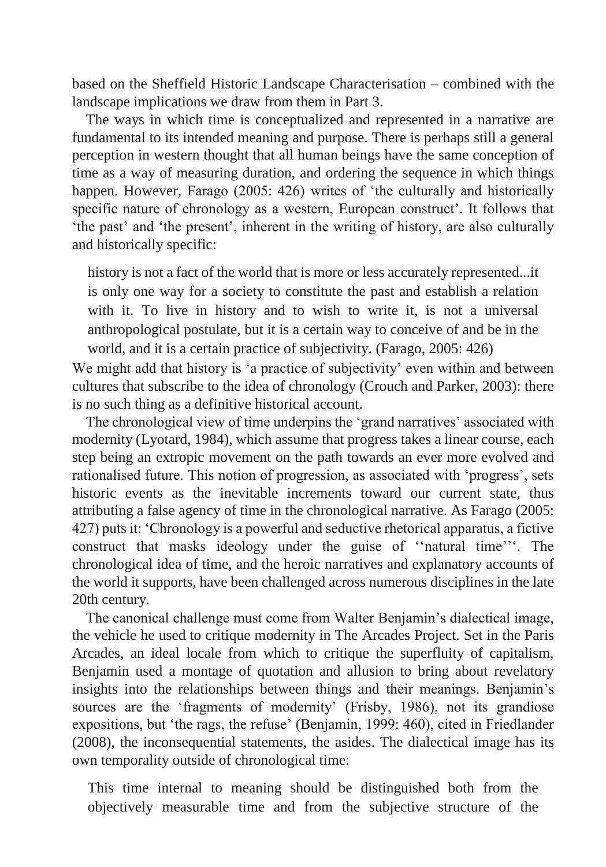based on the Sheffield Historic Landscape Characterisation – combined with the landscape implications we draw from them in Part 3.

The ways in which time is conceptualized and represented in a narrative are fundamental to its intended meaning and purpose. There is perhaps still a general perception in western thought that all human beings have the same conception of time as a way of measuring duration, and ordering the sequence in which things happen. However, Farago (2005: 426) writes of 'the culturally and historically specific nature of chronology as a western, European construct'. It follows that 'the past' and 'the present', inherent in the writing of history, are also culturally and historically specific:

history is not a fact of the world that is more or less accurately represented...it is only one way for a society to constitute the past and establish a relation with it. To live in history and to wish to write it, is not a universal anthropological postulate, but it is a certain way to conceive of and be in the world, and it is a certain practice of subjectivity. (Farago, 2005: 426)

We might add that history is 'a practice of subjectivity' even within and between cultures that subscribe to the idea of chronology (Crouch and Parker, 2003): there is no such thing as a definitive historical account.

The chronological view of time underpins the 'grand narratives' associated with modernity (Lyotard, 1984), which assume that progress takes a linear course, each step being an extropic movement on the path towards an ever more evolved and rationalised future. This notion of progression, as associated with 'progress', sets historic events as the inevitable increments toward our current state, thus attributing a false agency of time in the chronological narrative. As Farago (2005: 427) puts it: 'Chronology is a powerful and seductive rhetorical apparatus, a fictive construct that masks ideology under the guise of ''natural time'''. The chronological idea of time, and the heroic narratives and explanatory accounts of the world it supports, have been challenged across numerous disciplines in the late 20th century.

The canonical challenge must come from Walter Benjamin's dialectical image, the vehicle he used to critique modernity in The Arcades Project. Set in the Paris Arcades, an ideal locale from which to critique the superfluity of capitalism, Benjamin used a montage of quotation and allusion to bring about revelatory insights into the relationships between things and their meanings. Benjamin's sources are the 'fragments of modernity' (Frisby, 1986), not its grandiose expositions, but 'the rags, the refuse' (Benjamin, 1999: 460), cited in Friedlander (2008), the inconsequential statements, the asides. The dialectical image has its own temporality outside of chronological time:

This time internal to meaning should be distinguished both from the objectively measurable time and from the subjective structure of the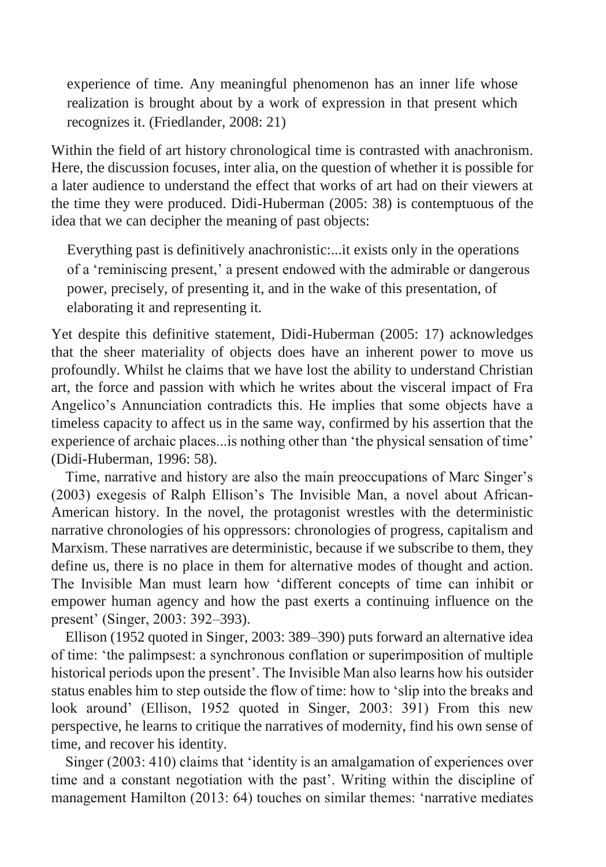experience of time. Any meaningful phenomenon has an inner life whose realization is brought about by a work of expression in that present which recognizes it. (Friedlander, 2008: 21)

Within the field of art history chronological time is contrasted with anachronism. Here, the discussion focuses, inter alia, on the question of whether it is possible for a later audience to understand the effect that works of art had on their viewers at the time they were produced. Didi-Huberman (2005: 38) is contemptuous of the idea that we can decipher the meaning of past objects:

Everything past is definitively anachronistic:...it exists only in the operations of a 'reminiscing present,' a present endowed with the admirable or dangerous power, precisely, of presenting it, and in the wake of this presentation, of elaborating it and representing it.

Yet despite this definitive statement, Didi-Huberman (2005: 17) acknowledges that the sheer materiality of objects does have an inherent power to move us profoundly. Whilst he claims that we have lost the ability to understand Christian art, the force and passion with which he writes about the visceral impact of Fra Angelico's Annunciation contradicts this. He implies that some objects have a timeless capacity to affect us in the same way, confirmed by his assertion that the experience of archaic places...is nothing other than 'the physical sensation of time' (Didi-Huberman, 1996: 58).

Time, narrative and history are also the main preoccupations of Marc Singer's (2003) exegesis of Ralph Ellison's The Invisible Man, a novel about African-American history. In the novel, the protagonist wrestles with the deterministic narrative chronologies of his oppressors: chronologies of progress, capitalism and Marxism. These narratives are deterministic, because if we subscribe to them, they define us, there is no place in them for alternative modes of thought and action. The Invisible Man must learn how 'different concepts of time can inhibit or empower human agency and how the past exerts a continuing influence on the present' (Singer, 2003: 392–393).

Ellison (1952 quoted in Singer, 2003: 389–390) puts forward an alternative idea of time: 'the palimpsest: a synchronous conflation or superimposition of multiple historical periods upon the present'. The Invisible Man also learns how his outsider status enables him to step outside the flow of time: how to 'slip into the breaks and look around' (Ellison, 1952 quoted in Singer, 2003: 391) From this new perspective, he learns to critique the narratives of modernity, find his own sense of time, and recover his identity.

Singer (2003: 410) claims that 'identity is an amalgamation of experiences over time and a constant negotiation with the past'. Writing within the discipline of management Hamilton (2013: 64) touches on similar themes: 'narrative mediates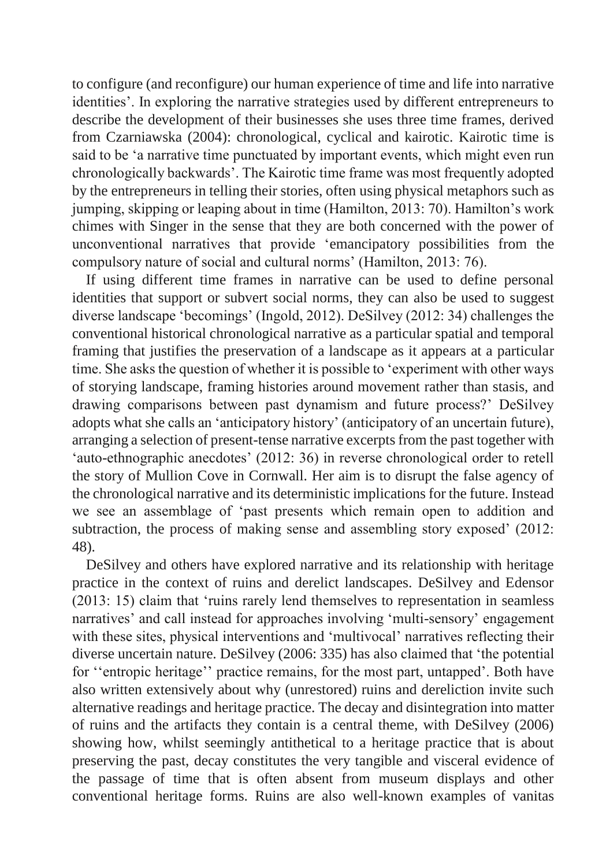to configure (and reconfigure) our human experience of time and life into narrative identities'. In exploring the narrative strategies used by different entrepreneurs to describe the development of their businesses she uses three time frames, derived from Czarniawska (2004): chronological, cyclical and kairotic. Kairotic time is said to be 'a narrative time punctuated by important events, which might even run chronologically backwards'. The Kairotic time frame was most frequently adopted by the entrepreneurs in telling their stories, often using physical metaphors such as jumping, skipping or leaping about in time (Hamilton, 2013: 70). Hamilton's work chimes with Singer in the sense that they are both concerned with the power of unconventional narratives that provide 'emancipatory possibilities from the compulsory nature of social and cultural norms' (Hamilton, 2013: 76).

If using different time frames in narrative can be used to define personal identities that support or subvert social norms, they can also be used to suggest diverse landscape 'becomings' (Ingold, 2012). DeSilvey (2012: 34) challenges the conventional historical chronological narrative as a particular spatial and temporal framing that justifies the preservation of a landscape as it appears at a particular time. She asks the question of whether it is possible to 'experiment with other ways of storying landscape, framing histories around movement rather than stasis, and drawing comparisons between past dynamism and future process?' DeSilvey adopts what she calls an 'anticipatory history' (anticipatory of an uncertain future), arranging a selection of present-tense narrative excerpts from the past together with 'auto-ethnographic anecdotes' (2012: 36) in reverse chronological order to retell the story of Mullion Cove in Cornwall. Her aim is to disrupt the false agency of the chronological narrative and its deterministic implications for the future. Instead we see an assemblage of 'past presents which remain open to addition and subtraction, the process of making sense and assembling story exposed' (2012: 48).

DeSilvey and others have explored narrative and its relationship with heritage practice in the context of ruins and derelict landscapes. DeSilvey and Edensor (2013: 15) claim that 'ruins rarely lend themselves to representation in seamless narratives' and call instead for approaches involving 'multi-sensory' engagement with these sites, physical interventions and 'multivocal' narratives reflecting their diverse uncertain nature. DeSilvey (2006: 335) has also claimed that 'the potential for ''entropic heritage'' practice remains, for the most part, untapped'. Both have also written extensively about why (unrestored) ruins and dereliction invite such alternative readings and heritage practice. The decay and disintegration into matter of ruins and the artifacts they contain is a central theme, with DeSilvey (2006) showing how, whilst seemingly antithetical to a heritage practice that is about preserving the past, decay constitutes the very tangible and visceral evidence of the passage of time that is often absent from museum displays and other conventional heritage forms. Ruins are also well-known examples of vanitas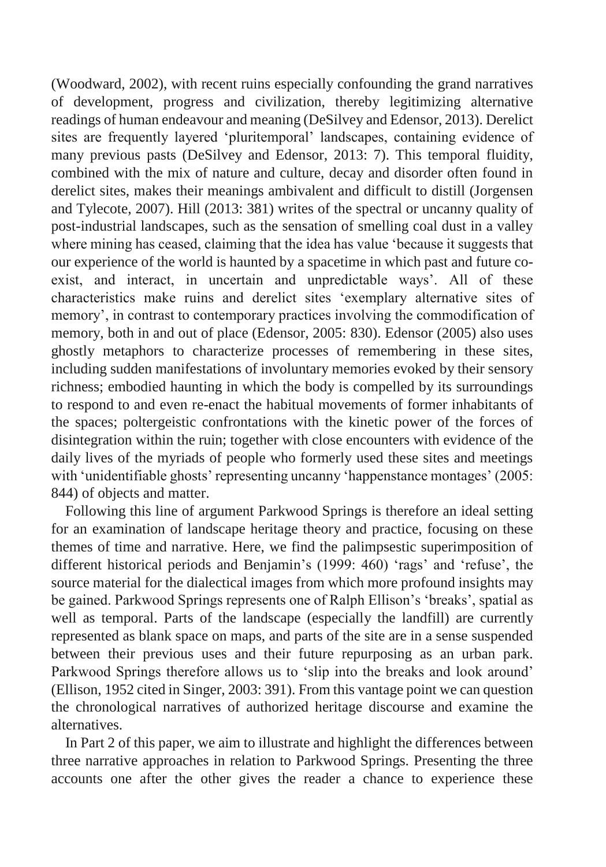(Woodward, 2002), with recent ruins especially confounding the grand narratives of development, progress and civilization, thereby legitimizing alternative readings of human endeavour and meaning (DeSilvey and Edensor, 2013). Derelict sites are frequently layered 'pluritemporal' landscapes, containing evidence of many previous pasts (DeSilvey and Edensor, 2013: 7). This temporal fluidity, combined with the mix of nature and culture, decay and disorder often found in derelict sites, makes their meanings ambivalent and difficult to distill (Jorgensen and Tylecote, 2007). Hill (2013: 381) writes of the spectral or uncanny quality of post-industrial landscapes, such as the sensation of smelling coal dust in a valley where mining has ceased, claiming that the idea has value 'because it suggests that our experience of the world is haunted by a spacetime in which past and future coexist, and interact, in uncertain and unpredictable ways'. All of these characteristics make ruins and derelict sites 'exemplary alternative sites of memory', in contrast to contemporary practices involving the commodification of memory, both in and out of place (Edensor, 2005: 830). Edensor (2005) also uses ghostly metaphors to characterize processes of remembering in these sites, including sudden manifestations of involuntary memories evoked by their sensory richness; embodied haunting in which the body is compelled by its surroundings to respond to and even re-enact the habitual movements of former inhabitants of the spaces; poltergeistic confrontations with the kinetic power of the forces of disintegration within the ruin; together with close encounters with evidence of the daily lives of the myriads of people who formerly used these sites and meetings with 'unidentifiable ghosts' representing uncanny 'happenstance montages' (2005: 844) of objects and matter.

Following this line of argument Parkwood Springs is therefore an ideal setting for an examination of landscape heritage theory and practice, focusing on these themes of time and narrative. Here, we find the palimpsestic superimposition of different historical periods and Benjamin's (1999: 460) 'rags' and 'refuse', the source material for the dialectical images from which more profound insights may be gained. Parkwood Springs represents one of Ralph Ellison's 'breaks', spatial as well as temporal. Parts of the landscape (especially the landfill) are currently represented as blank space on maps, and parts of the site are in a sense suspended between their previous uses and their future repurposing as an urban park. Parkwood Springs therefore allows us to 'slip into the breaks and look around' (Ellison, 1952 cited in Singer, 2003: 391). From this vantage point we can question the chronological narratives of authorized heritage discourse and examine the alternatives.

In Part 2 of this paper, we aim to illustrate and highlight the differences between three narrative approaches in relation to Parkwood Springs. Presenting the three accounts one after the other gives the reader a chance to experience these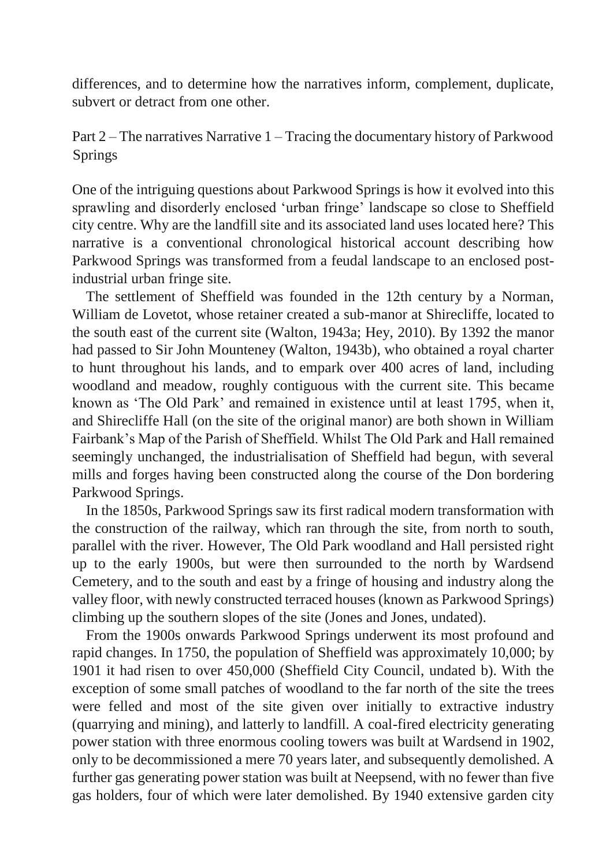differences, and to determine how the narratives inform, complement, duplicate, subvert or detract from one other.

Part 2 – The narratives Narrative 1 – Tracing the documentary history of Parkwood Springs

One of the intriguing questions about Parkwood Springs is how it evolved into this sprawling and disorderly enclosed 'urban fringe' landscape so close to Sheffield city centre. Why are the landfill site and its associated land uses located here? This narrative is a conventional chronological historical account describing how Parkwood Springs was transformed from a feudal landscape to an enclosed postindustrial urban fringe site.

The settlement of Sheffield was founded in the 12th century by a Norman, William de Lovetot, whose retainer created a sub-manor at Shirecliffe, located to the south east of the current site (Walton, 1943a; Hey, 2010). By 1392 the manor had passed to Sir John Mounteney (Walton, 1943b), who obtained a royal charter to hunt throughout his lands, and to empark over 400 acres of land, including woodland and meadow, roughly contiguous with the current site. This became known as 'The Old Park' and remained in existence until at least 1795, when it, and Shirecliffe Hall (on the site of the original manor) are both shown in William Fairbank's Map of the Parish of Sheffield. Whilst The Old Park and Hall remained seemingly unchanged, the industrialisation of Sheffield had begun, with several mills and forges having been constructed along the course of the Don bordering Parkwood Springs.

In the 1850s, Parkwood Springs saw its first radical modern transformation with the construction of the railway, which ran through the site, from north to south, parallel with the river. However, The Old Park woodland and Hall persisted right up to the early 1900s, but were then surrounded to the north by Wardsend Cemetery, and to the south and east by a fringe of housing and industry along the valley floor, with newly constructed terraced houses (known as Parkwood Springs) climbing up the southern slopes of the site (Jones and Jones, undated).

From the 1900s onwards Parkwood Springs underwent its most profound and rapid changes. In 1750, the population of Sheffield was approximately 10,000; by 1901 it had risen to over 450,000 (Sheffield City Council, undated b). With the exception of some small patches of woodland to the far north of the site the trees were felled and most of the site given over initially to extractive industry (quarrying and mining), and latterly to landfill. A coal-fired electricity generating power station with three enormous cooling towers was built at Wardsend in 1902, only to be decommissioned a mere 70 years later, and subsequently demolished. A further gas generating power station was built at Neepsend, with no fewer than five gas holders, four of which were later demolished. By 1940 extensive garden city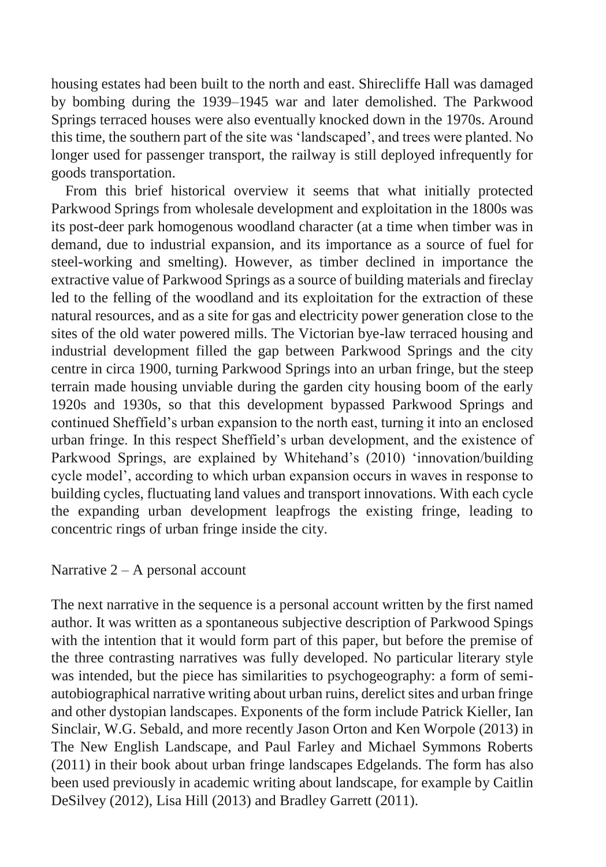housing estates had been built to the north and east. Shirecliffe Hall was damaged by bombing during the 1939–1945 war and later demolished. The Parkwood Springs terraced houses were also eventually knocked down in the 1970s. Around this time, the southern part of the site was 'landscaped', and trees were planted. No longer used for passenger transport, the railway is still deployed infrequently for goods transportation.

From this brief historical overview it seems that what initially protected Parkwood Springs from wholesale development and exploitation in the 1800s was its post-deer park homogenous woodland character (at a time when timber was in demand, due to industrial expansion, and its importance as a source of fuel for steel-working and smelting). However, as timber declined in importance the extractive value of Parkwood Springs as a source of building materials and fireclay led to the felling of the woodland and its exploitation for the extraction of these natural resources, and as a site for gas and electricity power generation close to the sites of the old water powered mills. The Victorian bye-law terraced housing and industrial development filled the gap between Parkwood Springs and the city centre in circa 1900, turning Parkwood Springs into an urban fringe, but the steep terrain made housing unviable during the garden city housing boom of the early 1920s and 1930s, so that this development bypassed Parkwood Springs and continued Sheffield's urban expansion to the north east, turning it into an enclosed urban fringe. In this respect Sheffield's urban development, and the existence of Parkwood Springs, are explained by Whitehand's (2010) 'innovation/building cycle model', according to which urban expansion occurs in waves in response to building cycles, fluctuating land values and transport innovations. With each cycle the expanding urban development leapfrogs the existing fringe, leading to concentric rings of urban fringe inside the city.

## Narrative  $2 - A$  personal account

The next narrative in the sequence is a personal account written by the first named author. It was written as a spontaneous subjective description of Parkwood Spings with the intention that it would form part of this paper, but before the premise of the three contrasting narratives was fully developed. No particular literary style was intended, but the piece has similarities to psychogeography: a form of semiautobiographical narrative writing about urban ruins, derelict sites and urban fringe and other dystopian landscapes. Exponents of the form include Patrick Kieller, Ian Sinclair, W.G. Sebald, and more recently Jason Orton and Ken Worpole (2013) in The New English Landscape, and Paul Farley and Michael Symmons Roberts (2011) in their book about urban fringe landscapes Edgelands. The form has also been used previously in academic writing about landscape, for example by Caitlin DeSilvey (2012), Lisa Hill (2013) and Bradley Garrett (2011).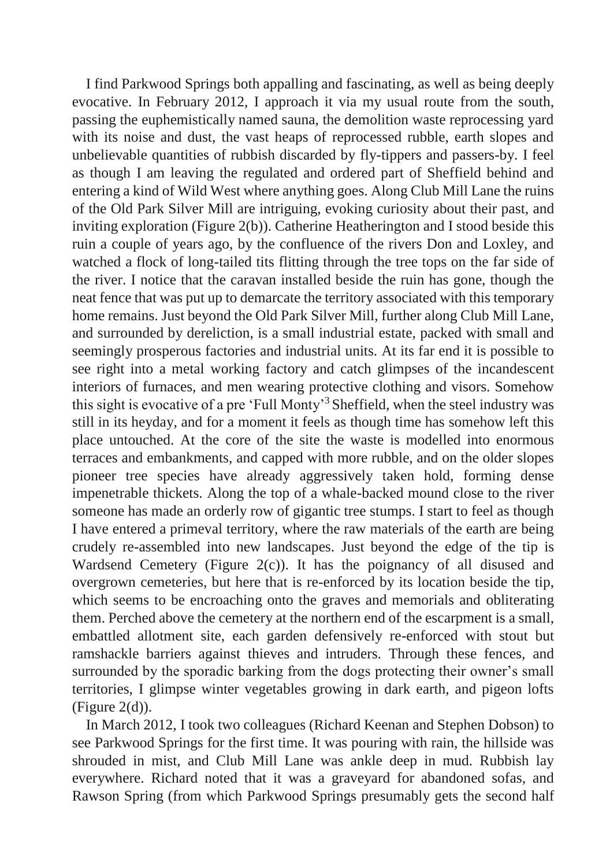I find Parkwood Springs both appalling and fascinating, as well as being deeply evocative. In February 2012, I approach it via my usual route from the south, passing the euphemistically named sauna, the demolition waste reprocessing yard with its noise and dust, the vast heaps of reprocessed rubble, earth slopes and unbelievable quantities of rubbish discarded by fly-tippers and passers-by. I feel as though I am leaving the regulated and ordered part of Sheffield behind and entering a kind of Wild West where anything goes. Along Club Mill Lane the ruins of the Old Park Silver Mill are intriguing, evoking curiosity about their past, and inviting exploration (Figure 2(b)). Catherine Heatherington and I stood beside this ruin a couple of years ago, by the confluence of the rivers Don and Loxley, and watched a flock of long-tailed tits flitting through the tree tops on the far side of the river. I notice that the caravan installed beside the ruin has gone, though the neat fence that was put up to demarcate the territory associated with this temporary home remains. Just beyond the Old Park Silver Mill, further along Club Mill Lane, and surrounded by dereliction, is a small industrial estate, packed with small and seemingly prosperous factories and industrial units. At its far end it is possible to see right into a metal working factory and catch glimpses of the incandescent interiors of furnaces, and men wearing protective clothing and visors. Somehow this sight is evocative of a pre 'Full Monty'<sup>3</sup>Sheffield, when the steel industry was still in its heyday, and for a moment it feels as though time has somehow left this place untouched. At the core of the site the waste is modelled into enormous terraces and embankments, and capped with more rubble, and on the older slopes pioneer tree species have already aggressively taken hold, forming dense impenetrable thickets. Along the top of a whale-backed mound close to the river someone has made an orderly row of gigantic tree stumps. I start to feel as though I have entered a primeval territory, where the raw materials of the earth are being crudely re-assembled into new landscapes. Just beyond the edge of the tip is Wardsend Cemetery (Figure 2(c)). It has the poignancy of all disused and overgrown cemeteries, but here that is re-enforced by its location beside the tip, which seems to be encroaching onto the graves and memorials and obliterating them. Perched above the cemetery at the northern end of the escarpment is a small, embattled allotment site, each garden defensively re-enforced with stout but ramshackle barriers against thieves and intruders. Through these fences, and surrounded by the sporadic barking from the dogs protecting their owner's small territories, I glimpse winter vegetables growing in dark earth, and pigeon lofts  $(Figure 2(d))$ .

In March 2012, I took two colleagues (Richard Keenan and Stephen Dobson) to see Parkwood Springs for the first time. It was pouring with rain, the hillside was shrouded in mist, and Club Mill Lane was ankle deep in mud. Rubbish lay everywhere. Richard noted that it was a graveyard for abandoned sofas, and Rawson Spring (from which Parkwood Springs presumably gets the second half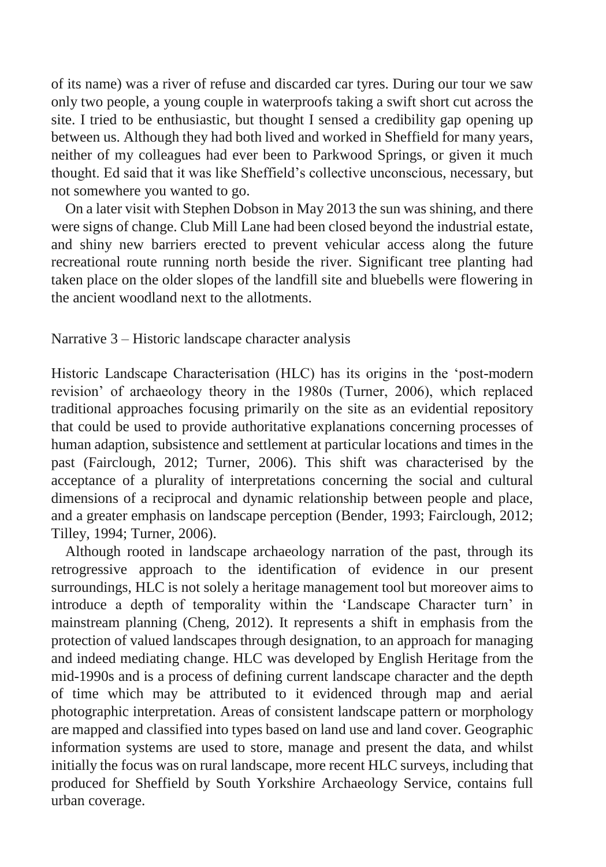of its name) was a river of refuse and discarded car tyres. During our tour we saw only two people, a young couple in waterproofs taking a swift short cut across the site. I tried to be enthusiastic, but thought I sensed a credibility gap opening up between us. Although they had both lived and worked in Sheffield for many years, neither of my colleagues had ever been to Parkwood Springs, or given it much thought. Ed said that it was like Sheffield's collective unconscious, necessary, but not somewhere you wanted to go.

On a later visit with Stephen Dobson in May 2013 the sun was shining, and there were signs of change. Club Mill Lane had been closed beyond the industrial estate, and shiny new barriers erected to prevent vehicular access along the future recreational route running north beside the river. Significant tree planting had taken place on the older slopes of the landfill site and bluebells were flowering in the ancient woodland next to the allotments.

### Narrative 3 – Historic landscape character analysis

Historic Landscape Characterisation (HLC) has its origins in the 'post-modern revision' of archaeology theory in the 1980s (Turner, 2006), which replaced traditional approaches focusing primarily on the site as an evidential repository that could be used to provide authoritative explanations concerning processes of human adaption, subsistence and settlement at particular locations and times in the past (Fairclough, 2012; Turner, 2006). This shift was characterised by the acceptance of a plurality of interpretations concerning the social and cultural dimensions of a reciprocal and dynamic relationship between people and place, and a greater emphasis on landscape perception (Bender, 1993; Fairclough, 2012; Tilley, 1994; Turner, 2006).

Although rooted in landscape archaeology narration of the past, through its retrogressive approach to the identification of evidence in our present surroundings, HLC is not solely a heritage management tool but moreover aims to introduce a depth of temporality within the 'Landscape Character turn' in mainstream planning (Cheng, 2012). It represents a shift in emphasis from the protection of valued landscapes through designation, to an approach for managing and indeed mediating change. HLC was developed by English Heritage from the mid-1990s and is a process of defining current landscape character and the depth of time which may be attributed to it evidenced through map and aerial photographic interpretation. Areas of consistent landscape pattern or morphology are mapped and classified into types based on land use and land cover. Geographic information systems are used to store, manage and present the data, and whilst initially the focus was on rural landscape, more recent HLC surveys, including that produced for Sheffield by South Yorkshire Archaeology Service, contains full urban coverage.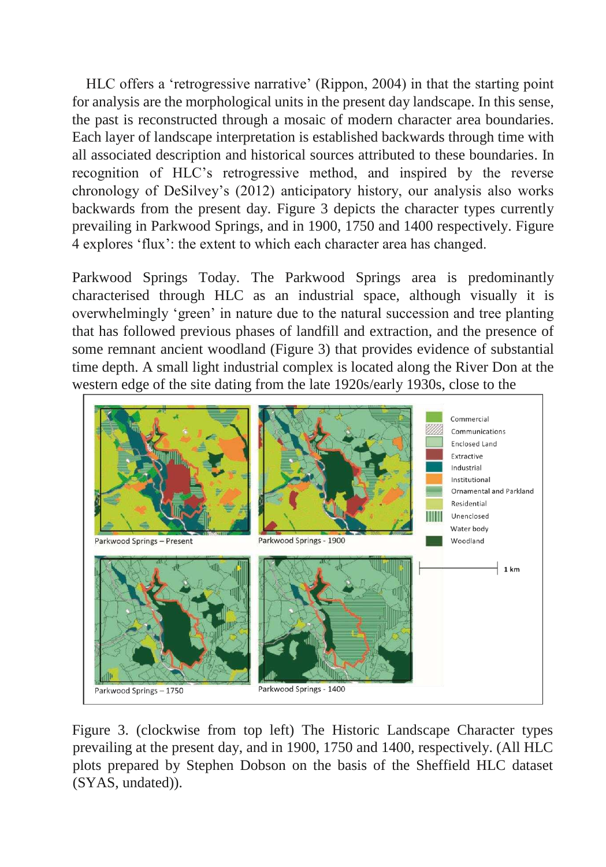HLC offers a 'retrogressive narrative' (Rippon, 2004) in that the starting point for analysis are the morphological units in the present day landscape. In this sense, the past is reconstructed through a mosaic of modern character area boundaries. Each layer of landscape interpretation is established backwards through time with all associated description and historical sources attributed to these boundaries. In recognition of HLC's retrogressive method, and inspired by the reverse chronology of DeSilvey's (2012) anticipatory history, our analysis also works backwards from the present day. Figure 3 depicts the character types currently prevailing in Parkwood Springs, and in 1900, 1750 and 1400 respectively. Figure 4 explores 'flux': the extent to which each character area has changed.

Parkwood Springs Today. The Parkwood Springs area is predominantly characterised through HLC as an industrial space, although visually it is overwhelmingly 'green' in nature due to the natural succession and tree planting that has followed previous phases of landfill and extraction, and the presence of some remnant ancient woodland (Figure 3) that provides evidence of substantial time depth. A small light industrial complex is located along the River Don at the western edge of the site dating from the late 1920s/early 1930s, close to the



Figure 3. (clockwise from top left) The Historic Landscape Character types prevailing at the present day, and in 1900, 1750 and 1400, respectively. (All HLC plots prepared by Stephen Dobson on the basis of the Sheffield HLC dataset (SYAS, undated)).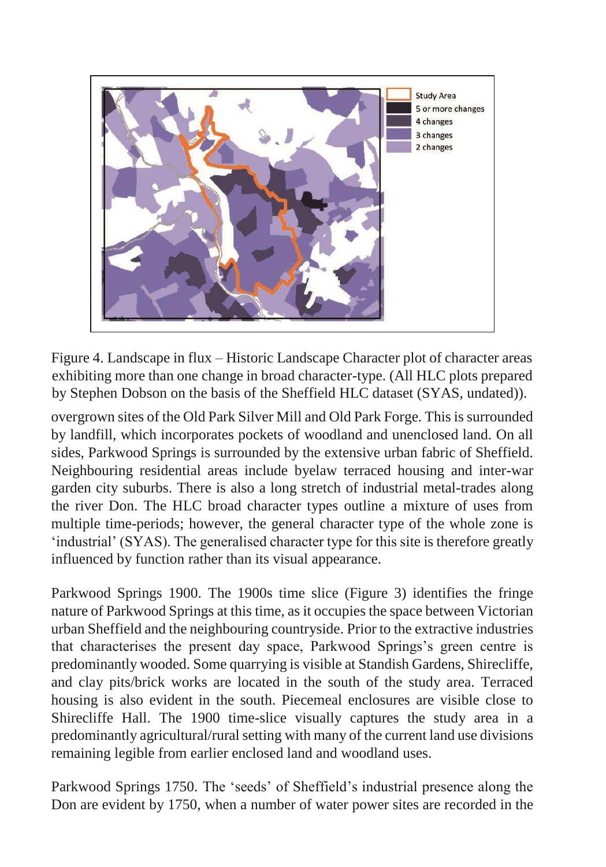

Figure 4. Landscape in flux – Historic Landscape Character plot of character areas exhibiting more than one change in broad character-type. (All HLC plots prepared by Stephen Dobson on the basis of the Sheffield HLC dataset (SYAS, undated)).

overgrown sites of the Old Park Silver Mill and Old Park Forge. This is surrounded by landfill, which incorporates pockets of woodland and unenclosed land. On all sides, Parkwood Springs is surrounded by the extensive urban fabric of Sheffield. Neighbouring residential areas include byelaw terraced housing and inter-war garden city suburbs. There is also a long stretch of industrial metal-trades along the river Don. The HLC broad character types outline a mixture of uses from multiple time-periods; however, the general character type of the whole zone is 'industrial' (SYAS). The generalised character type for this site is therefore greatly influenced by function rather than its visual appearance.

Parkwood Springs 1900. The 1900s time slice (Figure 3) identifies the fringe nature of Parkwood Springs at this time, as it occupies the space between Victorian urban Sheffield and the neighbouring countryside. Prior to the extractive industries that characterises the present day space, Parkwood Springs's green centre is predominantly wooded. Some quarrying is visible at Standish Gardens, Shirecliffe, and clay pits/brick works are located in the south of the study area. Terraced housing is also evident in the south. Piecemeal enclosures are visible close to Shirecliffe Hall. The 1900 time-slice visually captures the study area in a predominantly agricultural/rural setting with many of the current land use divisions remaining legible from earlier enclosed land and woodland uses.

Parkwood Springs 1750. The 'seeds' of Sheffield's industrial presence along the Don are evident by 1750, when a number of water power sites are recorded in the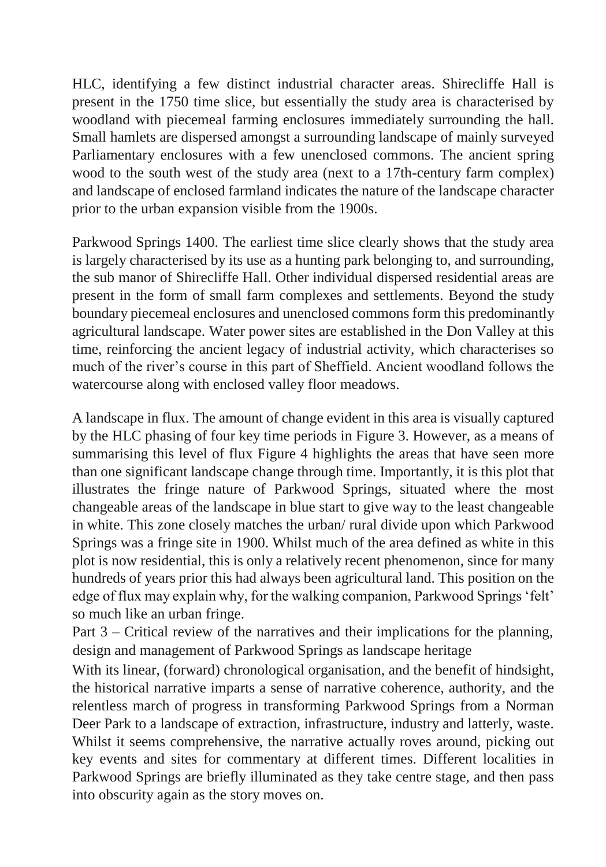HLC, identifying a few distinct industrial character areas. Shirecliffe Hall is present in the 1750 time slice, but essentially the study area is characterised by woodland with piecemeal farming enclosures immediately surrounding the hall. Small hamlets are dispersed amongst a surrounding landscape of mainly surveyed Parliamentary enclosures with a few unenclosed commons. The ancient spring wood to the south west of the study area (next to a 17th-century farm complex) and landscape of enclosed farmland indicates the nature of the landscape character prior to the urban expansion visible from the 1900s.

Parkwood Springs 1400. The earliest time slice clearly shows that the study area is largely characterised by its use as a hunting park belonging to, and surrounding, the sub manor of Shirecliffe Hall. Other individual dispersed residential areas are present in the form of small farm complexes and settlements. Beyond the study boundary piecemeal enclosures and unenclosed commons form this predominantly agricultural landscape. Water power sites are established in the Don Valley at this time, reinforcing the ancient legacy of industrial activity, which characterises so much of the river's course in this part of Sheffield. Ancient woodland follows the watercourse along with enclosed valley floor meadows.

A landscape in flux. The amount of change evident in this area is visually captured by the HLC phasing of four key time periods in Figure 3. However, as a means of summarising this level of flux Figure 4 highlights the areas that have seen more than one significant landscape change through time. Importantly, it is this plot that illustrates the fringe nature of Parkwood Springs, situated where the most changeable areas of the landscape in blue start to give way to the least changeable in white. This zone closely matches the urban/ rural divide upon which Parkwood Springs was a fringe site in 1900. Whilst much of the area defined as white in this plot is now residential, this is only a relatively recent phenomenon, since for many hundreds of years prior this had always been agricultural land. This position on the edge of flux may explain why, for the walking companion, Parkwood Springs 'felt' so much like an urban fringe.

Part 3 – Critical review of the narratives and their implications for the planning, design and management of Parkwood Springs as landscape heritage

With its linear, (forward) chronological organisation, and the benefit of hindsight, the historical narrative imparts a sense of narrative coherence, authority, and the relentless march of progress in transforming Parkwood Springs from a Norman Deer Park to a landscape of extraction, infrastructure, industry and latterly, waste. Whilst it seems comprehensive, the narrative actually roves around, picking out key events and sites for commentary at different times. Different localities in Parkwood Springs are briefly illuminated as they take centre stage, and then pass into obscurity again as the story moves on.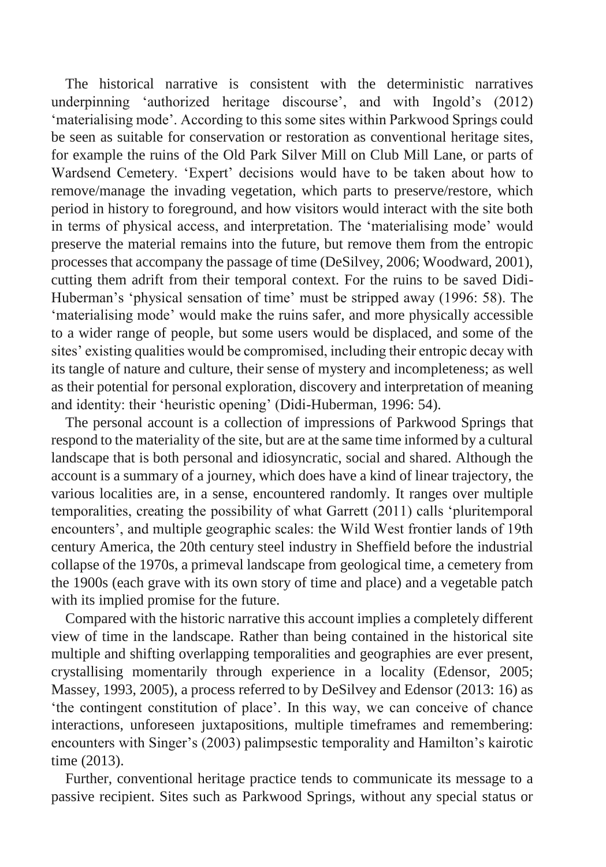The historical narrative is consistent with the deterministic narratives underpinning 'authorized heritage discourse', and with Ingold's (2012) 'materialising mode'. According to this some sites within Parkwood Springs could be seen as suitable for conservation or restoration as conventional heritage sites, for example the ruins of the Old Park Silver Mill on Club Mill Lane, or parts of Wardsend Cemetery. 'Expert' decisions would have to be taken about how to remove/manage the invading vegetation, which parts to preserve/restore, which period in history to foreground, and how visitors would interact with the site both in terms of physical access, and interpretation. The 'materialising mode' would preserve the material remains into the future, but remove them from the entropic processes that accompany the passage of time (DeSilvey, 2006; Woodward, 2001), cutting them adrift from their temporal context. For the ruins to be saved Didi-Huberman's 'physical sensation of time' must be stripped away (1996: 58). The 'materialising mode' would make the ruins safer, and more physically accessible to a wider range of people, but some users would be displaced, and some of the sites' existing qualities would be compromised, including their entropic decay with its tangle of nature and culture, their sense of mystery and incompleteness; as well as their potential for personal exploration, discovery and interpretation of meaning and identity: their 'heuristic opening' (Didi-Huberman, 1996: 54).

The personal account is a collection of impressions of Parkwood Springs that respond to the materiality of the site, but are at the same time informed by a cultural landscape that is both personal and idiosyncratic, social and shared. Although the account is a summary of a journey, which does have a kind of linear trajectory, the various localities are, in a sense, encountered randomly. It ranges over multiple temporalities, creating the possibility of what Garrett (2011) calls 'pluritemporal encounters', and multiple geographic scales: the Wild West frontier lands of 19th century America, the 20th century steel industry in Sheffield before the industrial collapse of the 1970s, a primeval landscape from geological time, a cemetery from the 1900s (each grave with its own story of time and place) and a vegetable patch with its implied promise for the future.

Compared with the historic narrative this account implies a completely different view of time in the landscape. Rather than being contained in the historical site multiple and shifting overlapping temporalities and geographies are ever present, crystallising momentarily through experience in a locality (Edensor, 2005; Massey, 1993, 2005), a process referred to by DeSilvey and Edensor (2013: 16) as 'the contingent constitution of place'. In this way, we can conceive of chance interactions, unforeseen juxtapositions, multiple timeframes and remembering: encounters with Singer's (2003) palimpsestic temporality and Hamilton's kairotic time (2013).

Further, conventional heritage practice tends to communicate its message to a passive recipient. Sites such as Parkwood Springs, without any special status or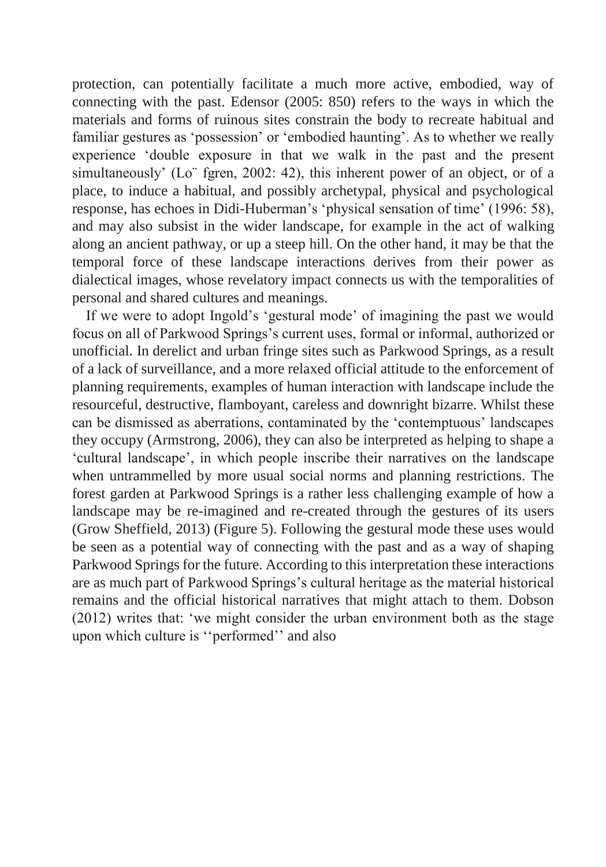protection, can potentially facilitate a much more active, embodied, way of connecting with the past. Edensor (2005: 850) refers to the ways in which the materials and forms of ruinous sites constrain the body to recreate habitual and familiar gestures as 'possession' or 'embodied haunting'. As to whether we really experience 'double exposure in that we walk in the past and the present simultaneously' (Lo¨ fgren, 2002: 42), this inherent power of an object, or of a place, to induce a habitual, and possibly archetypal, physical and psychological response, has echoes in Didi-Huberman's 'physical sensation of time' (1996: 58), and may also subsist in the wider landscape, for example in the act of walking along an ancient pathway, or up a steep hill. On the other hand, it may be that the temporal force of these landscape interactions derives from their power as dialectical images, whose revelatory impact connects us with the temporalities of personal and shared cultures and meanings.

If we were to adopt Ingold's 'gestural mode' of imagining the past we would focus on all of Parkwood Springs's current uses, formal or informal, authorized or unofficial. In derelict and urban fringe sites such as Parkwood Springs, as a result of a lack of surveillance, and a more relaxed official attitude to the enforcement of planning requirements, examples of human interaction with landscape include the resourceful, destructive, flamboyant, careless and downright bizarre. Whilst these can be dismissed as aberrations, contaminated by the 'contemptuous' landscapes they occupy (Armstrong, 2006), they can also be interpreted as helping to shape a 'cultural landscape', in which people inscribe their narratives on the landscape when untrammelled by more usual social norms and planning restrictions. The forest garden at Parkwood Springs is a rather less challenging example of how a landscape may be re-imagined and re-created through the gestures of its users (Grow Sheffield, 2013) (Figure 5). Following the gestural mode these uses would be seen as a potential way of connecting with the past and as a way of shaping Parkwood Springs for the future. According to this interpretation these interactions are as much part of Parkwood Springs's cultural heritage as the material historical remains and the official historical narratives that might attach to them. Dobson (2012) writes that: 'we might consider the urban environment both as the stage upon which culture is ''performed'' and also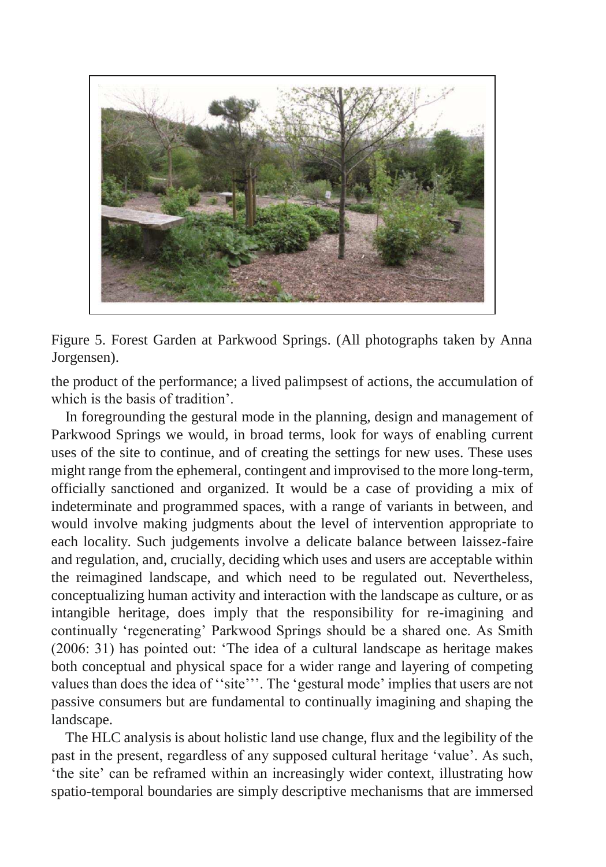

Figure 5. Forest Garden at Parkwood Springs. (All photographs taken by Anna Jorgensen).

the product of the performance; a lived palimpsest of actions, the accumulation of which is the basis of tradition'.

In foregrounding the gestural mode in the planning, design and management of Parkwood Springs we would, in broad terms, look for ways of enabling current uses of the site to continue, and of creating the settings for new uses. These uses might range from the ephemeral, contingent and improvised to the more long-term, officially sanctioned and organized. It would be a case of providing a mix of indeterminate and programmed spaces, with a range of variants in between, and would involve making judgments about the level of intervention appropriate to each locality. Such judgements involve a delicate balance between laissez-faire and regulation, and, crucially, deciding which uses and users are acceptable within the reimagined landscape, and which need to be regulated out. Nevertheless, conceptualizing human activity and interaction with the landscape as culture, or as intangible heritage, does imply that the responsibility for re-imagining and continually 'regenerating' Parkwood Springs should be a shared one. As Smith (2006: 31) has pointed out: 'The idea of a cultural landscape as heritage makes both conceptual and physical space for a wider range and layering of competing values than does the idea of ''site'''. The 'gestural mode' implies that users are not passive consumers but are fundamental to continually imagining and shaping the landscape.

The HLC analysis is about holistic land use change, flux and the legibility of the past in the present, regardless of any supposed cultural heritage 'value'. As such, 'the site' can be reframed within an increasingly wider context, illustrating how spatio-temporal boundaries are simply descriptive mechanisms that are immersed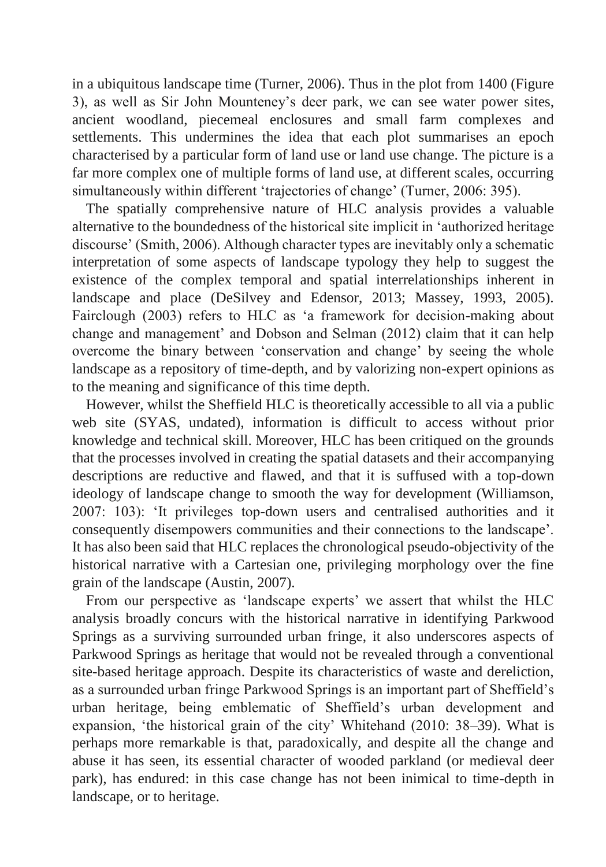in a ubiquitous landscape time (Turner, 2006). Thus in the plot from 1400 (Figure 3), as well as Sir John Mounteney's deer park, we can see water power sites, ancient woodland, piecemeal enclosures and small farm complexes and settlements. This undermines the idea that each plot summarises an epoch characterised by a particular form of land use or land use change. The picture is a far more complex one of multiple forms of land use, at different scales, occurring simultaneously within different 'trajectories of change' (Turner, 2006: 395).

The spatially comprehensive nature of HLC analysis provides a valuable alternative to the boundedness of the historical site implicit in 'authorized heritage discourse' (Smith, 2006). Although character types are inevitably only a schematic interpretation of some aspects of landscape typology they help to suggest the existence of the complex temporal and spatial interrelationships inherent in landscape and place (DeSilvey and Edensor, 2013; Massey, 1993, 2005). Fairclough (2003) refers to HLC as 'a framework for decision-making about change and management' and Dobson and Selman (2012) claim that it can help overcome the binary between 'conservation and change' by seeing the whole landscape as a repository of time-depth, and by valorizing non-expert opinions as to the meaning and significance of this time depth.

However, whilst the Sheffield HLC is theoretically accessible to all via a public web site (SYAS, undated), information is difficult to access without prior knowledge and technical skill. Moreover, HLC has been critiqued on the grounds that the processes involved in creating the spatial datasets and their accompanying descriptions are reductive and flawed, and that it is suffused with a top-down ideology of landscape change to smooth the way for development (Williamson, 2007: 103): 'It privileges top-down users and centralised authorities and it consequently disempowers communities and their connections to the landscape'. It has also been said that HLC replaces the chronological pseudo-objectivity of the historical narrative with a Cartesian one, privileging morphology over the fine grain of the landscape (Austin, 2007).

From our perspective as 'landscape experts' we assert that whilst the HLC analysis broadly concurs with the historical narrative in identifying Parkwood Springs as a surviving surrounded urban fringe, it also underscores aspects of Parkwood Springs as heritage that would not be revealed through a conventional site-based heritage approach. Despite its characteristics of waste and dereliction, as a surrounded urban fringe Parkwood Springs is an important part of Sheffield's urban heritage, being emblematic of Sheffield's urban development and expansion, 'the historical grain of the city' Whitehand (2010: 38–39). What is perhaps more remarkable is that, paradoxically, and despite all the change and abuse it has seen, its essential character of wooded parkland (or medieval deer park), has endured: in this case change has not been inimical to time-depth in landscape, or to heritage.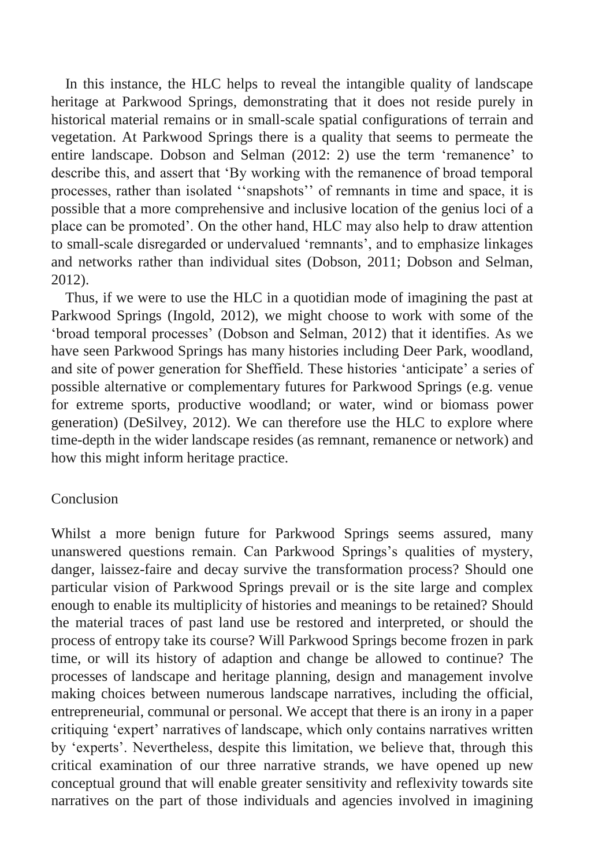In this instance, the HLC helps to reveal the intangible quality of landscape heritage at Parkwood Springs, demonstrating that it does not reside purely in historical material remains or in small-scale spatial configurations of terrain and vegetation. At Parkwood Springs there is a quality that seems to permeate the entire landscape. Dobson and Selman (2012: 2) use the term 'remanence' to describe this, and assert that 'By working with the remanence of broad temporal processes, rather than isolated ''snapshots'' of remnants in time and space, it is possible that a more comprehensive and inclusive location of the genius loci of a place can be promoted'. On the other hand, HLC may also help to draw attention to small-scale disregarded or undervalued 'remnants', and to emphasize linkages and networks rather than individual sites (Dobson, 2011; Dobson and Selman, 2012).

Thus, if we were to use the HLC in a quotidian mode of imagining the past at Parkwood Springs (Ingold, 2012), we might choose to work with some of the 'broad temporal processes' (Dobson and Selman, 2012) that it identifies. As we have seen Parkwood Springs has many histories including Deer Park, woodland, and site of power generation for Sheffield. These histories 'anticipate' a series of possible alternative or complementary futures for Parkwood Springs (e.g. venue for extreme sports, productive woodland; or water, wind or biomass power generation) (DeSilvey, 2012). We can therefore use the HLC to explore where time-depth in the wider landscape resides (as remnant, remanence or network) and how this might inform heritage practice.

### Conclusion

Whilst a more benign future for Parkwood Springs seems assured, many unanswered questions remain. Can Parkwood Springs's qualities of mystery, danger, laissez-faire and decay survive the transformation process? Should one particular vision of Parkwood Springs prevail or is the site large and complex enough to enable its multiplicity of histories and meanings to be retained? Should the material traces of past land use be restored and interpreted, or should the process of entropy take its course? Will Parkwood Springs become frozen in park time, or will its history of adaption and change be allowed to continue? The processes of landscape and heritage planning, design and management involve making choices between numerous landscape narratives, including the official, entrepreneurial, communal or personal. We accept that there is an irony in a paper critiquing 'expert' narratives of landscape, which only contains narratives written by 'experts'. Nevertheless, despite this limitation, we believe that, through this critical examination of our three narrative strands, we have opened up new conceptual ground that will enable greater sensitivity and reflexivity towards site narratives on the part of those individuals and agencies involved in imagining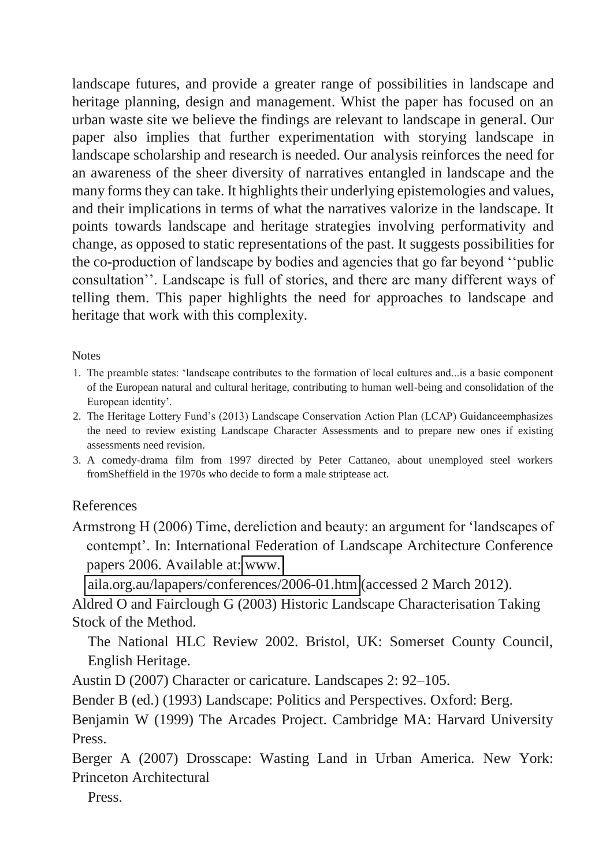landscape futures, and provide a greater range of possibilities in landscape and heritage planning, design and management. Whist the paper has focused on an urban waste site we believe the findings are relevant to landscape in general. Our paper also implies that further experimentation with storying landscape in landscape scholarship and research is needed. Our analysis reinforces the need for an awareness of the sheer diversity of narratives entangled in landscape and the many forms they can take. It highlights their underlying epistemologies and values, and their implications in terms of what the narratives valorize in the landscape. It points towards landscape and heritage strategies involving performativity and change, as opposed to static representations of the past. It suggests possibilities for the co-production of landscape by bodies and agencies that go far beyond ''public consultation''. Landscape is full of stories, and there are many different ways of telling them. This paper highlights the need for approaches to landscape and heritage that work with this complexity.

#### Notes

- 1. The preamble states: 'landscape contributes to the formation of local cultures and...is a basic component of the European natural and cultural heritage, contributing to human well-being and consolidation of the European identity'.
- 2. The Heritage Lottery Fund's (2013) Landscape Conservation Action Plan (LCAP) Guidanceemphasizes the need to review existing Landscape Character Assessments and to prepare new ones if existing assessments need revision.
- 3. A comedy-drama film from 1997 directed by Peter Cattaneo, about unemployed steel workers fromSheffield in the 1970s who decide to form a male striptease act.

### References

Armstrong H (2006) Time, dereliction and beauty: an argument for 'landscapes of contempt'. In: International Federation of Landscape Architecture Conference papers 2006. Available at: [www.](http://www.aila.org.au/lapapers/conferences/2006-01.htm)

[aila.org.au/lapapers/conferences/2006-01.htm](http://www.aila.org.au/lapapers/conferences/2006-01.htm) (accessed 2 March 2012).

Aldred O and Fairclough G (2003) Historic Landscape Characterisation Taking Stock of the Method.

The National HLC Review 2002. Bristol, UK: Somerset County Council, English Heritage.

Austin D (2007) Character or caricature. Landscapes 2: 92–105.

Bender B (ed.) (1993) Landscape: Politics and Perspectives. Oxford: Berg.

Benjamin W (1999) The Arcades Project. Cambridge MA: Harvard University Press.

Berger A (2007) Drosscape: Wasting Land in Urban America. New York: Princeton Architectural

Press.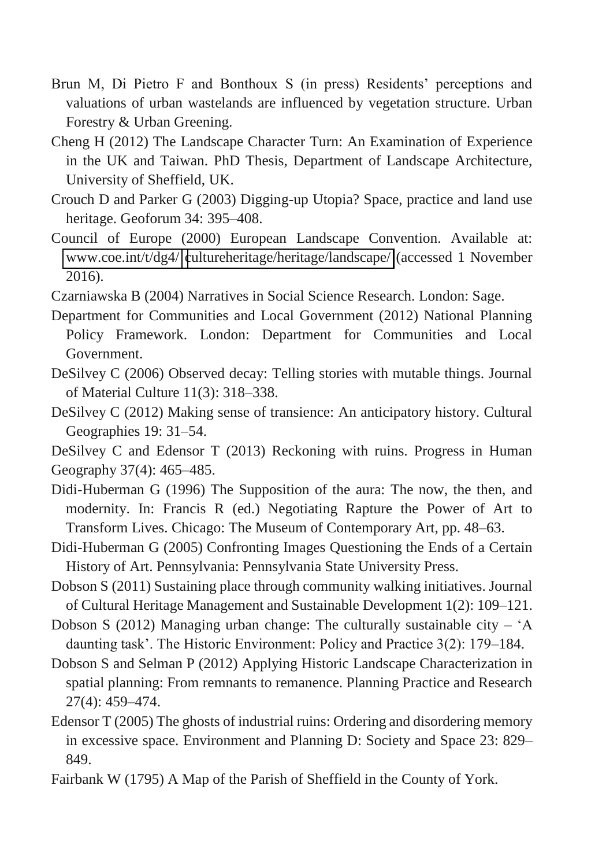- Brun M, Di Pietro F and Bonthoux S (in press) Residents' perceptions and valuations of urban wastelands are influenced by vegetation structure. Urban Forestry & Urban Greening.
- Cheng H (2012) The Landscape Character Turn: An Examination of Experience in the UK and Taiwan. PhD Thesis, Department of Landscape Architecture, University of Sheffield, UK.
- Crouch D and Parker G (2003) Digging-up Utopia? Space, practice and land use heritage. Geoforum 34: 395–408.
- Council of Europe (2000) European Landscape Convention. Available at: [www.coe.int/t/dg4/ cultureheritage/heritage/landscape/](http://www.coe.int/t/dg4/cultureheritage/heritage/landscape/) (accessed 1 November 2016).
- Czarniawska B (2004) Narratives in Social Science Research. London: Sage.
- Department for Communities and Local Government (2012) National Planning Policy Framework. London: Department for Communities and Local Government.
- DeSilvey C (2006) Observed decay: Telling stories with mutable things. Journal of Material Culture 11(3): 318–338.
- DeSilvey C (2012) Making sense of transience: An anticipatory history. Cultural Geographies 19: 31–54.
- DeSilvey C and Edensor T (2013) Reckoning with ruins. Progress in Human Geography 37(4): 465–485.
- Didi-Huberman G (1996) The Supposition of the aura: The now, the then, and modernity. In: Francis R (ed.) Negotiating Rapture the Power of Art to Transform Lives. Chicago: The Museum of Contemporary Art, pp. 48–63.
- Didi-Huberman G (2005) Confronting Images Questioning the Ends of a Certain History of Art. Pennsylvania: Pennsylvania State University Press.
- Dobson S (2011) Sustaining place through community walking initiatives. Journal of Cultural Heritage Management and Sustainable Development 1(2): 109–121.
- Dobson S (2012) Managing urban change: The culturally sustainable city  $A$ daunting task'. The Historic Environment: Policy and Practice 3(2): 179–184.
- Dobson S and Selman P (2012) Applying Historic Landscape Characterization in spatial planning: From remnants to remanence. Planning Practice and Research 27(4): 459–474.
- Edensor T (2005) The ghosts of industrial ruins: Ordering and disordering memory in excessive space. Environment and Planning D: Society and Space 23: 829– 849.
- Fairbank W (1795) A Map of the Parish of Sheffield in the County of York.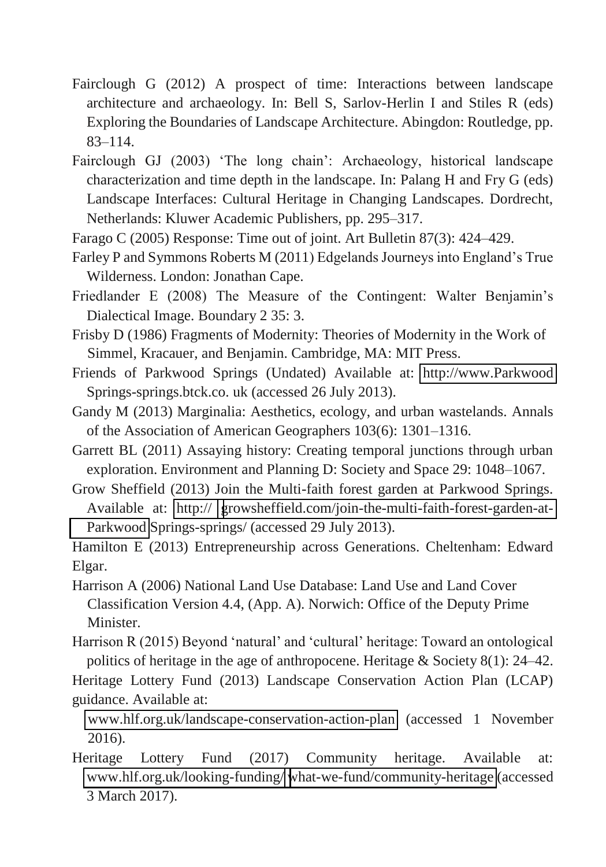- Fairclough G (2012) A prospect of time: Interactions between landscape architecture and archaeology. In: Bell S, Sarlov-Herlin I and Stiles R (eds) Exploring the Boundaries of Landscape Architecture. Abingdon: Routledge, pp. 83–114.
- Fairclough GJ (2003) 'The long chain': Archaeology, historical landscape characterization and time depth in the landscape. In: Palang H and Fry G (eds) Landscape Interfaces: Cultural Heritage in Changing Landscapes. Dordrecht, Netherlands: Kluwer Academic Publishers, pp. 295–317.
- Farago C (2005) Response: Time out of joint. Art Bulletin 87(3): 424–429.
- Farley P and Symmons Roberts M (2011) Edgelands Journeys into England's True Wilderness. London: Jonathan Cape.
- Friedlander E (2008) The Measure of the Contingent: Walter Benjamin's Dialectical Image. Boundary 2 35: 3.
- Frisby D (1986) Fragments of Modernity: Theories of Modernity in the Work of Simmel, Kracauer, and Benjamin. Cambridge, MA: MIT Press.
- Friends of Parkwood Springs (Undated) Available at: [http://www.Parkwood](http://www.parkwood/)  Springs-springs.btck.co. uk (accessed 26 July 2013).
- Gandy M (2013) Marginalia: Aesthetics, ecology, and urban wastelands. Annals of the Association of American Geographers 103(6): 1301–1316.
- Garrett BL (2011) Assaying history: Creating temporal junctions through urban exploration. Environment and Planning D: Society and Space 29: 1048–1067.
- Grow Sheffield (2013) Join the Multi-faith forest garden at Parkwood Springs. Available at: [http:// growsheffield.com/join-the-multi-faith-forest-garden-at-](http://growsheffield.com/join-the-multi-faith-forest-garden-at-Parkwood)[Parkwood](http://growsheffield.com/join-the-multi-faith-forest-garden-at-Parkwood) Springs-springs/ (accessed 29 July 2013).

Hamilton E (2013) Entrepreneurship across Generations. Cheltenham: Edward Elgar.

Harrison A (2006) National Land Use Database: Land Use and Land Cover Classification Version 4.4, (App. A). Norwich: Office of the Deputy Prime Minister.

Harrison R (2015) Beyond 'natural' and 'cultural' heritage: Toward an ontological politics of heritage in the age of anthropocene. Heritage & Society 8(1): 24–42.

Heritage Lottery Fund (2013) Landscape Conservation Action Plan (LCAP) guidance. Available at:

[www.hlf.org.uk/landscape-conservation-action-plan](http://www.hlf.org.uk/landscape-conservation-action-plan) (accessed 1 November 2016).

Heritage Lottery Fund (2017) Community heritage. Available at: [www.hlf.org.uk/looking-funding/ what-we-fund/community-heritage](http://www.hlf.org.uk/looking-funding/what-we-fund/community-heritage) (accessed 3 March 2017).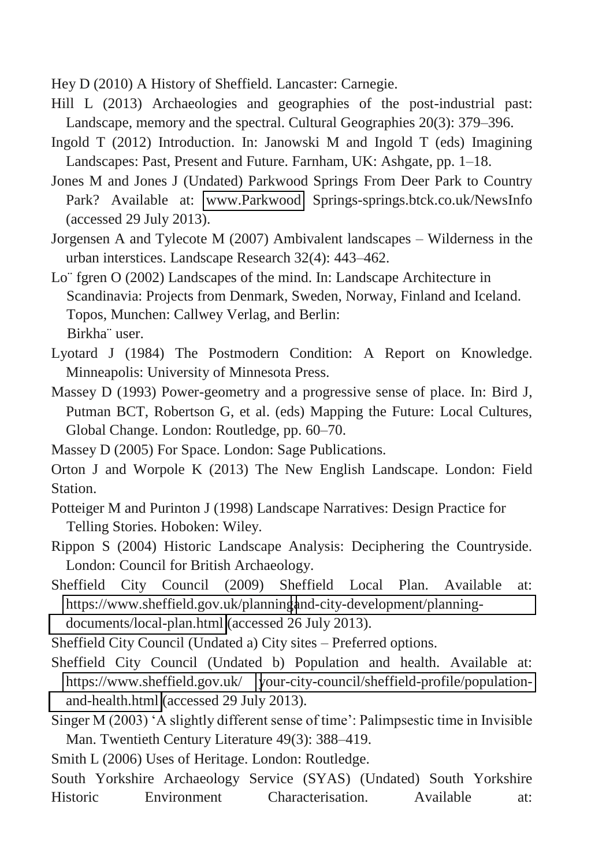Hey D (2010) A History of Sheffield. Lancaster: Carnegie.

- Hill L (2013) Archaeologies and geographies of the post-industrial past: Landscape, memory and the spectral. Cultural Geographies 20(3): 379–396.
- Ingold T (2012) Introduction. In: Janowski M and Ingold T (eds) Imagining Landscapes: Past, Present and Future. Farnham, UK: Ashgate, pp. 1–18.
- Jones M and Jones J (Undated) Parkwood Springs From Deer Park to Country Park? Available at: [www.Parkwood](http://www.parkwood/) Springs-springs.btck.co.uk/NewsInfo (accessed 29 July 2013).
- Jorgensen A and Tylecote M (2007) Ambivalent landscapes Wilderness in the urban interstices. Landscape Research 32(4): 443–462.
- Lo¨ fgren O (2002) Landscapes of the mind. In: Landscape Architecture in Scandinavia: Projects from Denmark, Sweden, Norway, Finland and Iceland. Topos, Munchen: Callwey Verlag, and Berlin: Birkha¨ user.
- Lyotard J (1984) The Postmodern Condition: A Report on Knowledge. Minneapolis: University of Minnesota Press.
- Massey D (1993) Power-geometry and a progressive sense of place. In: Bird J, Putman BCT, Robertson G, et al. (eds) Mapping the Future: Local Cultures, Global Change. London: Routledge, pp. 60–70.
- Massey D (2005) For Space. London: Sage Publications.
- Orton J and Worpole K (2013) The New English Landscape. London: Field Station.
- Potteiger M and Purinton J (1998) Landscape Narratives: Design Practice for Telling Stories. Hoboken: Wiley.
- Rippon S (2004) Historic Landscape Analysis: Deciphering the Countryside. London: Council for British Archaeology.
- Sheffield City Council (2009) Sheffield Local Plan. Available at: [https://www.sheffield.gov.uk/planningand-city-development/planning](https://www.sheffield.gov.uk/planning-and-city-development/planning-documents/local-plan.html)[documents/local-plan.html](https://www.sheffield.gov.uk/planning-and-city-development/planning-documents/local-plan.html) (accessed 26 July 2013).
- Sheffield City Council (Undated a) City sites Preferred options.
- Sheffield City Council (Undated b) Population and health. Available at: [https://www.sheffield.gov.uk/ your-city-council/sheffield-profile/population](https://www.sheffield.gov.uk/your-city-council/sheffield-profile/population-and-health.html)[and-health.html](https://www.sheffield.gov.uk/your-city-council/sheffield-profile/population-and-health.html) (accessed 29 July 2013).
- Singer M (2003) 'A slightly different sense of time': Palimpsestic time in Invisible Man. Twentieth Century Literature 49(3): 388–419.

Smith L (2006) Uses of Heritage. London: Routledge.

South Yorkshire Archaeology Service (SYAS) (Undated) South Yorkshire Historic Environment Characterisation. Available at: